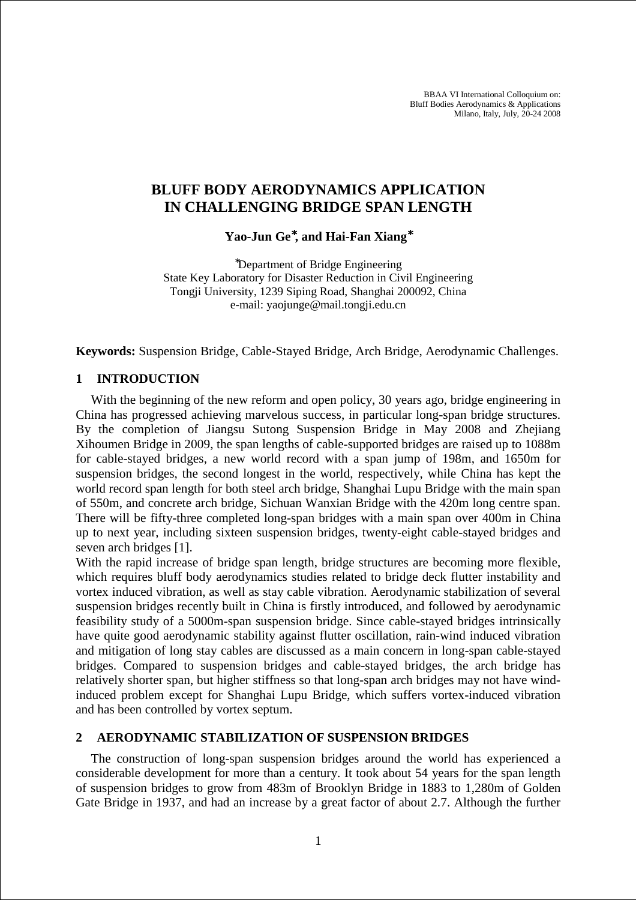BBAA VI International Colloquium on: Bluff Bodies Aerodynamics & Applications Milano, Italy, July, 20-24 2008

# **BLUFF BODY AERODYNAMICS APPLICATION IN CHALLENGING BRIDGE SPAN LENGTH**

**Yao-Jun Ge**<sup>∗</sup>**, and Hai-Fan Xiang**<sup>∗</sup>

<sup>∗</sup>Department of Bridge Engineering State Key Laboratory for Disaster Reduction in Civil Engineering Tongji University, 1239 Siping Road, Shanghai 200092, China e-mail: yaojunge@mail.tongji.edu.cn

**Keywords:** Suspension Bridge, Cable-Stayed Bridge, Arch Bridge, Aerodynamic Challenges.

#### **1 INTRODUCTION**

With the beginning of the new reform and open policy, 30 years ago, bridge engineering in China has progressed achieving marvelous success, in particular long-span bridge structures. By the completion of Jiangsu Sutong Suspension Bridge in May 2008 and Zhejiang Xihoumen Bridge in 2009, the span lengths of cable-supported bridges are raised up to 1088m for cable-stayed bridges, a new world record with a span jump of 198m, and 1650m for suspension bridges, the second longest in the world, respectively, while China has kept the world record span length for both steel arch bridge, Shanghai Lupu Bridge with the main span of 550m, and concrete arch bridge, Sichuan Wanxian Bridge with the 420m long centre span. There will be fifty-three completed long-span bridges with a main span over 400m in China up to next year, including sixteen suspension bridges, twenty-eight cable-stayed bridges and seven arch bridges [1].

With the rapid increase of bridge span length, bridge structures are becoming more flexible, which requires bluff body aerodynamics studies related to bridge deck flutter instability and vortex induced vibration, as well as stay cable vibration. Aerodynamic stabilization of several suspension bridges recently built in China is firstly introduced, and followed by aerodynamic feasibility study of a 5000m-span suspension bridge. Since cable-stayed bridges intrinsically have quite good aerodynamic stability against flutter oscillation, rain-wind induced vibration and mitigation of long stay cables are discussed as a main concern in long-span cable-stayed bridges. Compared to suspension bridges and cable-stayed bridges, the arch bridge has relatively shorter span, but higher stiffness so that long-span arch bridges may not have windinduced problem except for Shanghai Lupu Bridge, which suffers vortex-induced vibration and has been controlled by vortex septum.

#### **2 AERODYNAMIC STABILIZATION OF SUSPENSION BRIDGES**

The construction of long-span suspension bridges around the world has experienced a considerable development for more than a century. It took about 54 years for the span length of suspension bridges to grow from 483m of Brooklyn Bridge in 1883 to 1,280m of Golden Gate Bridge in 1937, and had an increase by a great factor of about 2.7. Although the further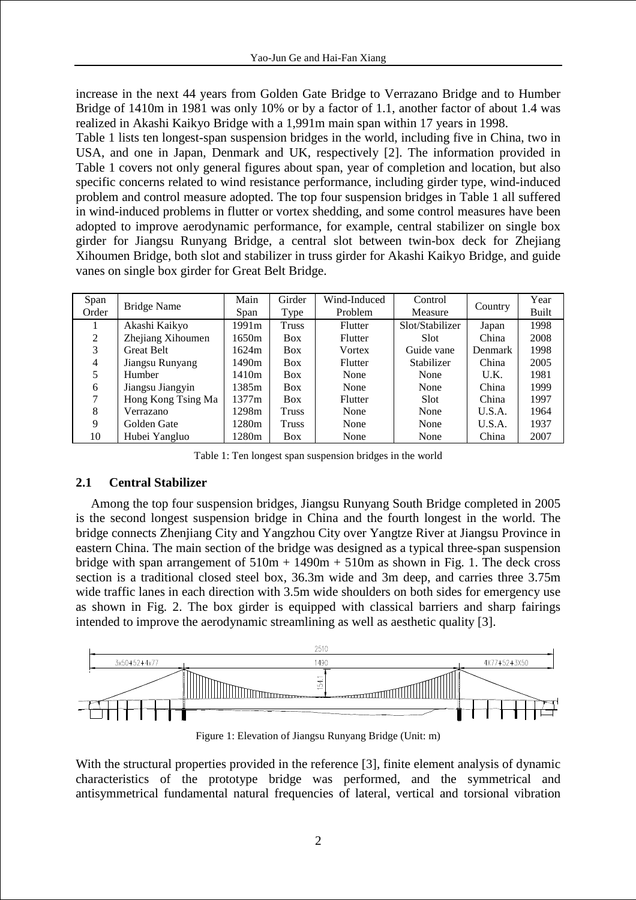increase in the next 44 years from Golden Gate Bridge to Verrazano Bridge and to Humber Bridge of 1410m in 1981 was only 10% or by a factor of 1.1, another factor of about 1.4 was realized in Akashi Kaikyo Bridge with a 1,991m main span within 17 years in 1998.

Table 1 lists ten longest-span suspension bridges in the world, including five in China, two in USA, and one in Japan, Denmark and UK, respectively [2]. The information provided in Table 1 covers not only general figures about span, year of completion and location, but also specific concerns related to wind resistance performance, including girder type, wind-induced problem and control measure adopted. The top four suspension bridges in Table 1 all suffered in wind-induced problems in flutter or vortex shedding, and some control measures have been adopted to improve aerodynamic performance, for example, central stabilizer on single box girder for Jiangsu Runyang Bridge, a central slot between twin-box deck for Zhejiang Xihoumen Bridge, both slot and stabilizer in truss girder for Akashi Kaikyo Bridge, and guide vanes on single box girder for Great Belt Bridge.

| Span  |                    | Main                    | Girder       | Wind-Induced   | Control         |                | Year |
|-------|--------------------|-------------------------|--------------|----------------|-----------------|----------------|------|
| Order | Bridge Name        | Problem<br>Type<br>Span |              | Measure        | Country         | <b>Built</b>   |      |
|       | Akashi Kaikyo      | 1991m                   | Truss        | <b>Flutter</b> | Slot/Stabilizer | Japan          | 1998 |
| 2     | Zhejiang Xihoumen  | 1650m                   | <b>Box</b>   | Flutter        | Slot            | China          | 2008 |
| 3     | <b>Great Belt</b>  | 1624m                   | <b>Box</b>   | Vortex         | Guide vane      | <b>Denmark</b> | 1998 |
| 4     | Jiangsu Runyang    | 1490m                   | <b>Box</b>   | Flutter        | Stabilizer      | China          | 2005 |
|       | Humber             | 1410m                   | <b>Box</b>   | None           | None            | U.K.           | 1981 |
| 6     | Jiangsu Jiangyin   | 1385m                   | <b>Box</b>   | None           | None            | China          | 1999 |
| 7     | Hong Kong Tsing Ma | 1377m                   | <b>Box</b>   | Flutter        | <b>Slot</b>     | China          | 1997 |
| 8     | Verrazano          | 1298m                   | <b>Truss</b> | None           | None            | U.S.A.         | 1964 |
| 9     | Golden Gate        | 1280m                   | Truss        | None           | None            | U.S.A.         | 1937 |
| 10    | Hubei Yangluo      | 1280m                   | <b>Box</b>   | None           | None            | China          | 2007 |

Table 1: Ten longest span suspension bridges in the world

## **2.1 Central Stabilizer**

Among the top four suspension bridges, Jiangsu Runyang South Bridge completed in 2005 is the second longest suspension bridge in China and the fourth longest in the world. The bridge connects Zhenjiang City and Yangzhou City over Yangtze River at Jiangsu Province in eastern China. The main section of the bridge was designed as a typical three-span suspension bridge with span arrangement of  $510m + 1490m + 510m$  as shown in Fig. 1. The deck cross section is a traditional closed steel box, 36.3m wide and 3m deep, and carries three 3.75m wide traffic lanes in each direction with 3.5m wide shoulders on both sides for emergency use as shown in Fig. 2. The box girder is equipped with classical barriers and sharp fairings intended to improve the aerodynamic streamlining as well as aesthetic quality [3].



Figure 1: Elevation of Jiangsu Runyang Bridge (Unit: m)

With the structural properties provided in the reference [3], finite element analysis of dynamic characteristics of the prototype bridge was performed, and the symmetrical and antisymmetrical fundamental natural frequencies of lateral, vertical and torsional vibration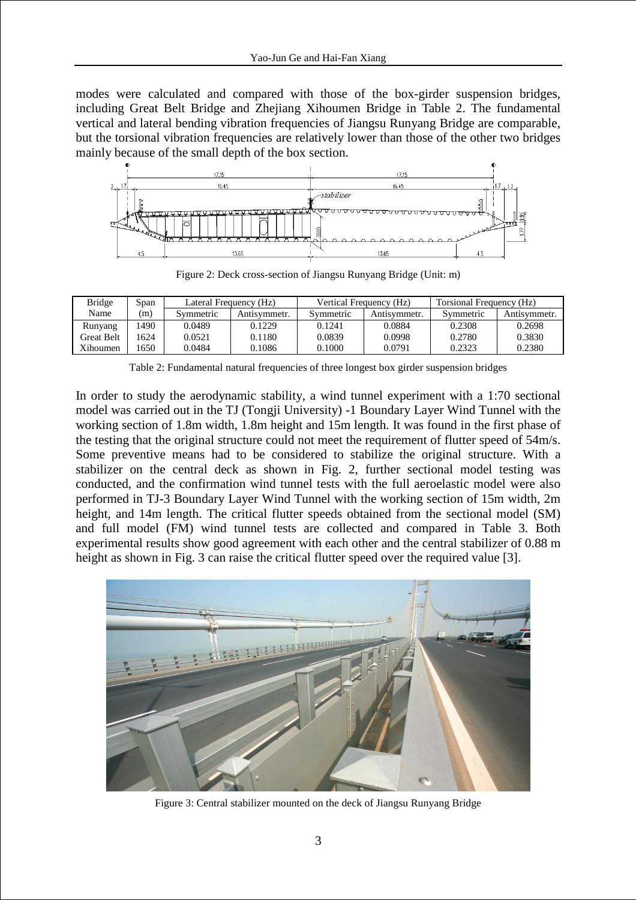modes were calculated and compared with those of the box-girder suspension bridges, including Great Belt Bridge and Zhejiang Xihoumen Bridge in Table 2. The fundamental vertical and lateral bending vibration frequencies of Jiangsu Runyang Bridge are comparable, but the torsional vibration frequencies are relatively lower than those of the other two bridges mainly because of the small depth of the box section.



Figure 2: Deck cross-section of Jiangsu Runyang Bridge (Unit: m)

| <b>Bridge</b>     | Span |           | Lateral Frequency (Hz) |           | Vertical Frequency (Hz) | Torsional Frequency (Hz) |              |  |
|-------------------|------|-----------|------------------------|-----------|-------------------------|--------------------------|--------------|--|
| Name              | (m)  | Symmetric | Antisvmmetr.           | Symmetric | Antısymmetr.            | Symmetric                | Antisymmetr. |  |
| Runyang           | 490  | 0.0489    | 0.1229                 | 0.1241    | 0.0884                  | 0.2308                   | 0.2698       |  |
| <b>Great Belt</b> | 1624 | 0.0521    | 0.1180                 | 0.0839    | 0.0998                  | 0.2780                   | 0.3830       |  |
| Xihoumen          | 1650 | 0.0484    | 0.1086                 | 0.1000    | 0.0791                  | 0.2323                   | 0.2380       |  |

Table 2: Fundamental natural frequencies of three longest box girder suspension bridges

In order to study the aerodynamic stability, a wind tunnel experiment with a 1:70 sectional model was carried out in the TJ (Tongji University) -1 Boundary Layer Wind Tunnel with the working section of 1.8m width, 1.8m height and 15m length. It was found in the first phase of the testing that the original structure could not meet the requirement of flutter speed of 54m/s. Some preventive means had to be considered to stabilize the original structure. With a stabilizer on the central deck as shown in Fig. 2, further sectional model testing was conducted, and the confirmation wind tunnel tests with the full aeroelastic model were also performed in TJ-3 Boundary Layer Wind Tunnel with the working section of 15m width, 2m height, and 14m length. The critical flutter speeds obtained from the sectional model (SM) and full model (FM) wind tunnel tests are collected and compared in Table 3. Both experimental results show good agreement with each other and the central stabilizer of 0.88 m height as shown in Fig. 3 can raise the critical flutter speed over the required value [3].



Figure 3: Central stabilizer mounted on the deck of Jiangsu Runyang Bridge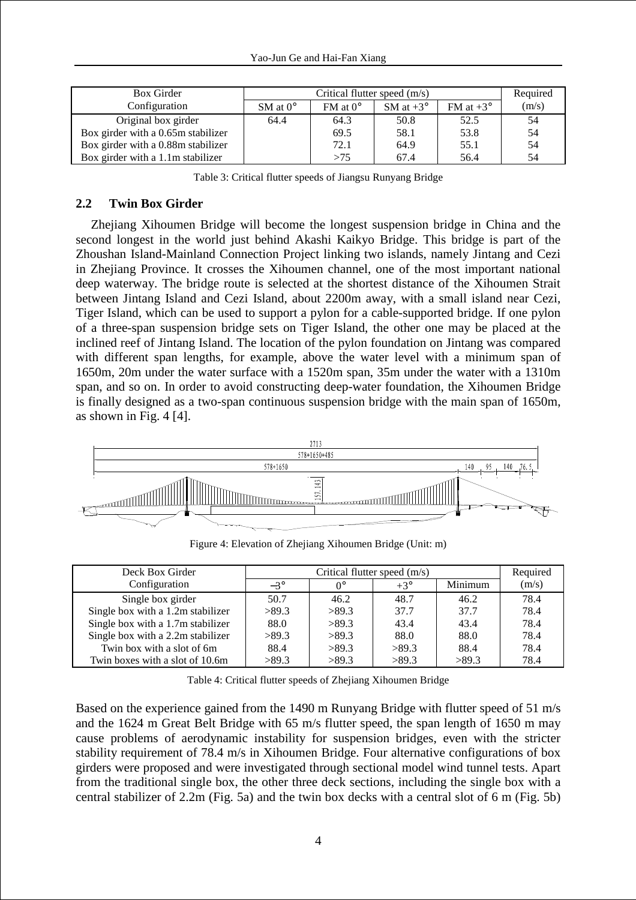| <b>Box Girder</b>                  |                     | Critical flutter speed (m/s) |                    |                    | Required |
|------------------------------------|---------------------|------------------------------|--------------------|--------------------|----------|
| Configuration                      | $SM$ at $0^{\circ}$ | $FM$ at $0^{\circ}$          | SM at $+3^{\circ}$ | FM at $+3^{\circ}$ | (m/s)    |
| Original box girder                | 64.4                | 64.3                         | 50.8               | 52.5               | 54       |
| Box girder with a 0.65m stabilizer |                     | 69.5                         | 58.1               | 53.8               | 54       |
| Box girder with a 0.88m stabilizer |                     | 72.1                         | 64.9               | 55.1               | 54       |
| Box girder with a 1.1m stabilizer  |                     | >75                          | 67.4               | 56.4               | 54       |

Table 3: Critical flutter speeds of Jiangsu Runyang Bridge

## **2.2 Twin Box Girder**

Zhejiang Xihoumen Bridge will become the longest suspension bridge in China and the second longest in the world just behind Akashi Kaikyo Bridge. This bridge is part of the Zhoushan Island-Mainland Connection Project linking two islands, namely Jintang and Cezi in Zhejiang Province. It crosses the Xihoumen channel, one of the most important national deep waterway. The bridge route is selected at the shortest distance of the Xihoumen Strait between Jintang Island and Cezi Island, about 2200m away, with a small island near Cezi, Tiger Island, which can be used to support a pylon for a cable-supported bridge. If one pylon of a three-span suspension bridge sets on Tiger Island, the other one may be placed at the inclined reef of Jintang Island. The location of the pylon foundation on Jintang was compared with different span lengths, for example, above the water level with a minimum span of 1650m, 20m under the water surface with a 1520m span, 35m under the water with a 1310m span, and so on. In order to avoid constructing deep-water foundation, the Xihoumen Bridge is finally designed as a two-span continuous suspension bridge with the main span of 1650m, as shown in Fig. 4 [4].



Figure 4: Elevation of Zhejiang Xihoumen Bridge (Unit: m)

| Deck Box Girder                   |            |       | Critical flutter speed $(m/s)$ |         | Required |
|-----------------------------------|------------|-------|--------------------------------|---------|----------|
| Configuration                     | $-3^\circ$ | ∩°    | $+3^\circ$                     | Minimum | (m/s)    |
| Single box girder                 | 50.7       | 46.2  | 48.7                           | 46.2    | 78.4     |
| Single box with a 1.2m stabilizer | >89.3      | >89.3 | 37.7                           | 37.7    | 78.4     |
| Single box with a 1.7m stabilizer | 88.0       | >89.3 | 43.4                           | 43.4    | 78.4     |
| Single box with a 2.2m stabilizer | >89.3      | >89.3 | 88.0                           | 88.0    | 78.4     |
| Twin box with a slot of 6m        | 88.4       | >89.3 | >89.3                          | 88.4    | 78.4     |
| Twin boxes with a slot of 10.6m   | >89.3      | >89.3 | >89.3                          | >89.3   | 78.4     |

Table 4: Critical flutter speeds of Zhejiang Xihoumen Bridge

Based on the experience gained from the 1490 m Runyang Bridge with flutter speed of 51 m/s and the 1624 m Great Belt Bridge with 65 m/s flutter speed, the span length of 1650 m may cause problems of aerodynamic instability for suspension bridges, even with the stricter stability requirement of 78.4 m/s in Xihoumen Bridge. Four alternative configurations of box girders were proposed and were investigated through sectional model wind tunnel tests. Apart from the traditional single box, the other three deck sections, including the single box with a central stabilizer of 2.2m (Fig. 5a) and the twin box decks with a central slot of 6 m (Fig. 5b)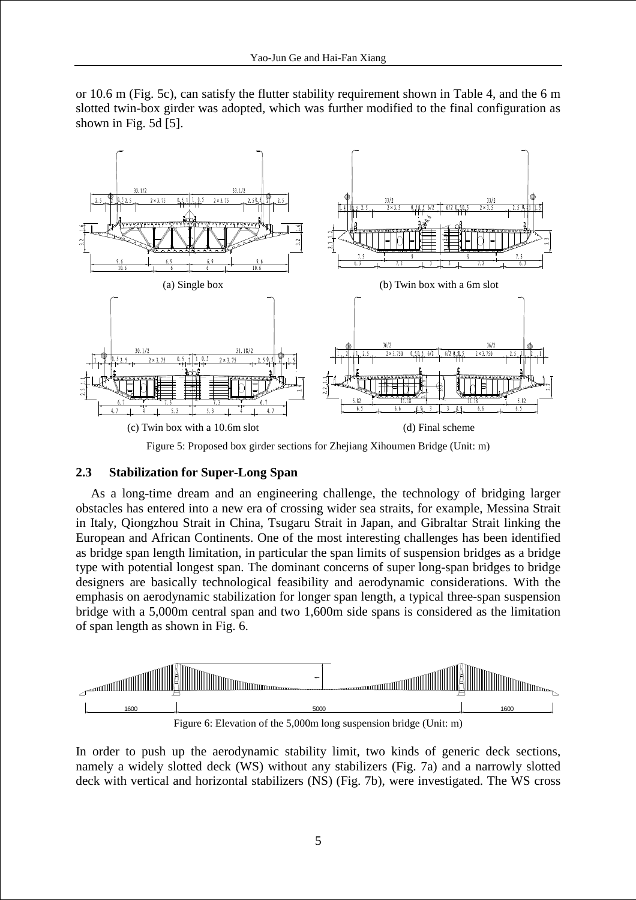or 10.6 m (Fig. 5c), can satisfy the flutter stability requirement shown in Table 4, and the 6 m slotted twin-box girder was adopted, which was further modified to the final configuration as shown in Fig. 5d [5].



Figure 5: Proposed box girder sections for Zhejiang Xihoumen Bridge (Unit: m)

## **2.3 Stabilization for Super-Long Span**

As a long-time dream and an engineering challenge, the technology of bridging larger obstacles has entered into a new era of crossing wider sea straits, for example, Messina Strait in Italy, Qiongzhou Strait in China, Tsugaru Strait in Japan, and Gibraltar Strait linking the European and African Continents. One of the most interesting challenges has been identified as bridge span length limitation, in particular the span limits of suspension bridges as a bridge type with potential longest span. The dominant concerns of super long-span bridges to bridge designers are basically technological feasibility and aerodynamic considerations. With the emphasis on aerodynamic stabilization for longer span length, a typical three-span suspension bridge with a 5,000m central span and two 1,600m side spans is considered as the limitation of span length as shown in Fig. 6.

![](_page_4_Figure_6.jpeg)

Figure 6: Elevation of the 5,000m long suspension bridge (Unit: m)

In order to push up the aerodynamic stability limit, two kinds of generic deck sections, namely a widely slotted deck (WS) without any stabilizers (Fig. 7a) and a narrowly slotted deck with vertical and horizontal stabilizers (NS) (Fig. 7b), were investigated. The WS cross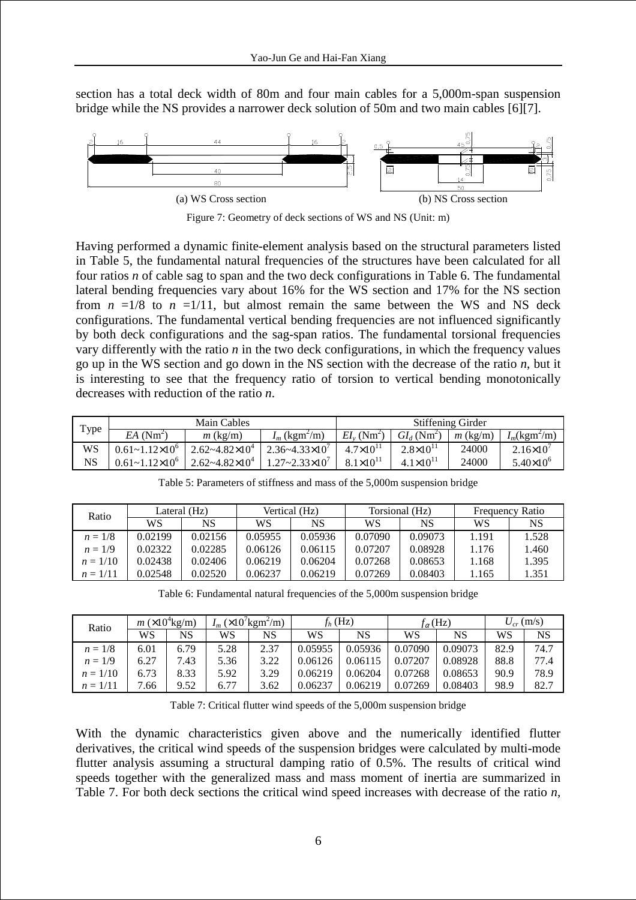section has a total deck width of 80m and four main cables for a 5,000m-span suspension bridge while the NS provides a narrower deck solution of 50m and two main cables [6][7].

![](_page_5_Figure_2.jpeg)

Figure 7: Geometry of deck sections of WS and NS (Unit: m)

Having performed a dynamic finite-element analysis based on the structural parameters listed in Table 5, the fundamental natural frequencies of the structures have been calculated for all four ratios *n* of cable sag to span and the two deck configurations in Table 6. The fundamental lateral bending frequencies vary about 16% for the WS section and 17% for the NS section from  $n = 1/8$  to  $n = 1/11$ , but almost remain the same between the WS and NS deck configurations. The fundamental vertical bending frequencies are not influenced significantly by both deck configurations and the sag-span ratios. The fundamental torsional frequencies vary differently with the ratio *n* in the two deck configurations, in which the frequency values go up in the WS section and go down in the NS section with the decrease of the ratio *n*, but it is interesting to see that the frequency ratio of torsion to vertical bending monotonically decreases with reduction of the ratio *n*.

| Type |                             | Main Cables               |                             | <b>Stiffening Girder</b>   |                      |            |                              |  |
|------|-----------------------------|---------------------------|-----------------------------|----------------------------|----------------------|------------|------------------------------|--|
|      | $EA$ (Nm <sup>2</sup> )     | $m$ (kg/m)                | $I_m$ (kgm <sup>2</sup> /m) | $EI_{v}$ (Nm <sup>2)</sup> | $GL_d(Nm^2)$         | $m$ (kg/m) | $I_m(\text{kgm}^2/\text{m})$ |  |
| WS   | $0.61 - 1.12 \times 10^{6}$ | $2.62 - 4.82 \times 10^4$ | $2.36 - 4.33 \times 10'$    | $4.7 \times 10^{11}$       | $2.8 \times 10^{11}$ | 24000      | $2.16\times10'$              |  |
| NS   | $0.61 - 1.12 \times 10^{6}$ | $2.62 - 4.82 \times 10^4$ | $1.27 - 2.33 \times 10^{7}$ | $8.1 \times 10^{11}$       | $4.1 \times 10^{11}$ | 24000      | $5.40\times10^{6}$           |  |

Table 5: Parameters of stiffness and mass of the 5,000m suspension bridge

| Ratio      | Lateral (Hz) |         | Vertical (Hz) |         |         | Torsional (Hz) | <b>Frequency Ratio</b> |       |
|------------|--------------|---------|---------------|---------|---------|----------------|------------------------|-------|
|            | WS           | NS      | WS            | NS      | WS      | NS             | WS                     | NS    |
| $n = 1/8$  | 0.02199      | 0.02156 | 0.05955       | 0.05936 | 0.07090 | 0.09073        | 1.191                  | 1.528 |
| $n = 1/9$  | 0.02322      | 0.02285 | 0.06126       | 0.06115 | 0.07207 | 0.08928        | 1.176                  | 1.460 |
| $n = 1/10$ | 0.02438      | 0.02406 | 0.06219       | 0.06204 | 0.07268 | 0.08653        | 1.168                  | 1.395 |
| $n = 1/11$ | 0.02548      | 0.02520 | 0.06237       | 0.06219 | 0.07269 | 0.08403        | 1.165                  | 1.351 |

Table 6: Fundamental natural frequencies of the 5,000m suspension bridge

| Ratio      | $m \left(\times 10^4 \text{kg/m}\right)$ |      | $I_m$ (×10 <sup>7</sup> kgm <sup>2</sup> /m) |      | $f_h$ (Hz) |         | $f_{\alpha}$ (Hz) |         | $U_{cr}$ (m/s) |      |
|------------|------------------------------------------|------|----------------------------------------------|------|------------|---------|-------------------|---------|----------------|------|
|            | WS                                       | NS   | WS                                           | NS   | WS         | NS      | WS                | NS      | WS             | NS   |
| $n = 1/8$  | 6.01                                     | 6.79 | 5.28                                         | 2.37 | 0.05955    | 0.05936 | 0.07090           | 0.09073 | 82.9           | 74.7 |
| $n = 1/9$  | 6.27                                     | 7.43 | 5.36                                         | 3.22 | 0.06126    | 0.06115 | 0.07207           | 0.08928 | 88.8           | 77.4 |
| $n = 1/10$ | 6.73                                     | 8.33 | 5.92                                         | 3.29 | 0.06219    | 0.06204 | 0.07268           | 0.08653 | 90.9           | 78.9 |
| $n = 1/11$ | 7.66                                     | 9.52 | 6.77                                         | 3.62 | 0.06237    | 0.06219 | 0.07269           | 0.08403 | 98.9           | 82.7 |

Table 7: Critical flutter wind speeds of the 5,000m suspension bridge

With the dynamic characteristics given above and the numerically identified flutter derivatives, the critical wind speeds of the suspension bridges were calculated by multi-mode flutter analysis assuming a structural damping ratio of 0.5%. The results of critical wind speeds together with the generalized mass and mass moment of inertia are summarized in Table 7. For both deck sections the critical wind speed increases with decrease of the ratio *n*,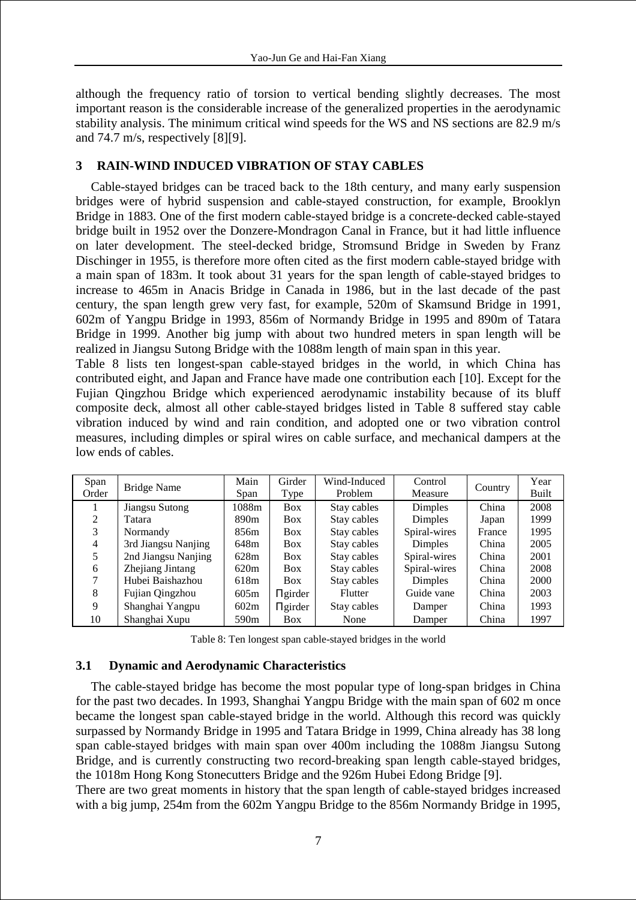although the frequency ratio of torsion to vertical bending slightly decreases. The most important reason is the considerable increase of the generalized properties in the aerodynamic stability analysis. The minimum critical wind speeds for the WS and NS sections are 82.9 m/s and 74.7 m/s, respectively [8][9].

## **3 RAIN-WIND INDUCED VIBRATION OF STAY CABLES**

Cable-stayed bridges can be traced back to the 18th century, and many early suspension bridges were of hybrid suspension and cable-stayed construction, for example, Brooklyn Bridge in 1883. One of the first modern cable-stayed bridge is a concrete-decked cable-stayed bridge built in 1952 over the Donzere-Mondragon Canal in France, but it had little influence on later development. The steel-decked bridge, Stromsund Bridge in Sweden by Franz Dischinger in 1955, is therefore more often cited as the first modern cable-stayed bridge with a main span of 183m. It took about 31 years for the span length of cable-stayed bridges to increase to 465m in Anacis Bridge in Canada in 1986, but in the last decade of the past century, the span length grew very fast, for example, 520m of Skamsund Bridge in 1991, 602m of Yangpu Bridge in 1993, 856m of Normandy Bridge in 1995 and 890m of Tatara Bridge in 1999. Another big jump with about two hundred meters in span length will be realized in Jiangsu Sutong Bridge with the 1088m length of main span in this year.

Table 8 lists ten longest-span cable-stayed bridges in the world, in which China has contributed eight, and Japan and France have made one contribution each [10]. Except for the Fujian Qingzhou Bridge which experienced aerodynamic instability because of its bluff composite deck, almost all other cable-stayed bridges listed in Table 8 suffered stay cable vibration induced by wind and rain condition, and adopted one or two vibration control measures, including dimples or spiral wires on cable surface, and mechanical dampers at the low ends of cables.

| Span  |                     | Main             | Girder       | Wind-Induced   | Control      |         | Year  |
|-------|---------------------|------------------|--------------|----------------|--------------|---------|-------|
| Order | <b>Bridge Name</b>  | Type<br>Span     |              | Problem        | Measure      | Country | Built |
|       | Jiangsu Sutong      | 1088m            | <b>Box</b>   | Stay cables    | Dimples      | China   | 2008  |
| 2     | Tatara              | 890 <sub>m</sub> | <b>Box</b>   | Stay cables    | Dimples      | Japan   | 1999  |
| 3     | Normandy            | 856m             | <b>Box</b>   | Stay cables    | Spiral-wires | France  | 1995  |
| 4     | 3rd Jiangsu Nanjing | 648m             | <b>Box</b>   | Stay cables    | Dimples      | China   | 2005  |
|       | 2nd Jiangsu Nanjing | 628m             | <b>Box</b>   | Stay cables    | Spiral-wires | China   | 2001  |
| 6     | Zhejiang Jintang    | 620 <sub>m</sub> | <b>Box</b>   | Stay cables    | Spiral-wires | China   | 2008  |
| 7     | Hubei Baishazhou    | 618m             | <b>Box</b>   | Stay cables    | Dimples      | China   | 2000  |
| 8     | Fujian Qingzhou     | 605m             | $\Pi$ girder | <b>Flutter</b> | Guide vane   | China   | 2003  |
| 9     | Shanghai Yangpu     | 602m             | $\Pi$ girder | Stay cables    | Damper       | China   | 1993  |
| 10    | Shanghai Xupu       | 590 <sub>m</sub> | <b>Box</b>   | None           | Damper       | China   | 1997  |

Table 8: Ten longest span cable-stayed bridges in the world

## **3.1 Dynamic and Aerodynamic Characteristics**

The cable-stayed bridge has become the most popular type of long-span bridges in China for the past two decades. In 1993, Shanghai Yangpu Bridge with the main span of 602 m once became the longest span cable-stayed bridge in the world. Although this record was quickly surpassed by Normandy Bridge in 1995 and Tatara Bridge in 1999, China already has 38 long span cable-stayed bridges with main span over 400m including the 1088m Jiangsu Sutong Bridge, and is currently constructing two record-breaking span length cable-stayed bridges, the 1018m Hong Kong Stonecutters Bridge and the 926m Hubei Edong Bridge [9].

There are two great moments in history that the span length of cable-stayed bridges increased with a big jump, 254m from the 602m Yangpu Bridge to the 856m Normandy Bridge in 1995,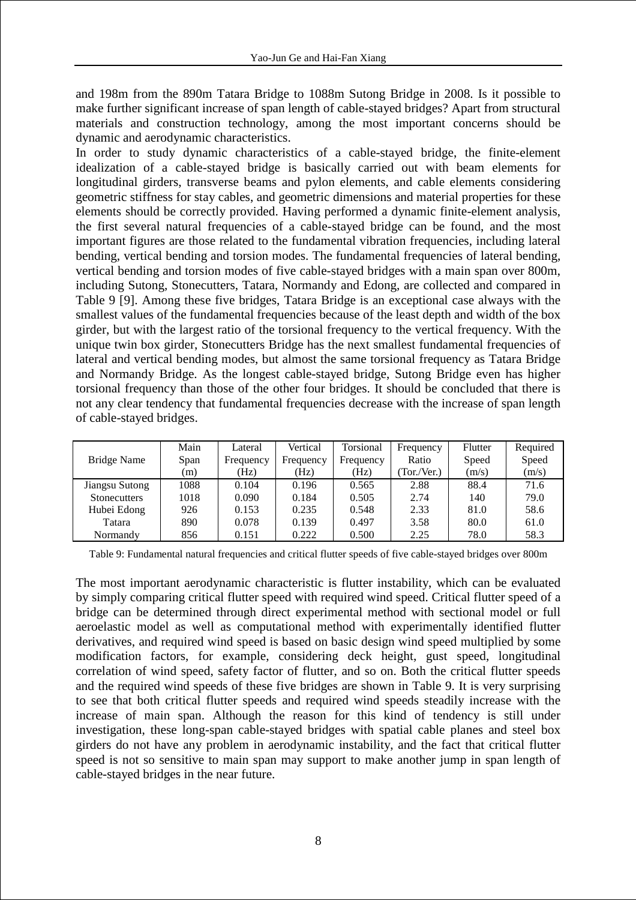and 198m from the 890m Tatara Bridge to 1088m Sutong Bridge in 2008. Is it possible to make further significant increase of span length of cable-stayed bridges? Apart from structural materials and construction technology, among the most important concerns should be dynamic and aerodynamic characteristics.

In order to study dynamic characteristics of a cable-stayed bridge, the finite-element idealization of a cable-stayed bridge is basically carried out with beam elements for longitudinal girders, transverse beams and pylon elements, and cable elements considering geometric stiffness for stay cables, and geometric dimensions and material properties for these elements should be correctly provided. Having performed a dynamic finite-element analysis, the first several natural frequencies of a cable-stayed bridge can be found, and the most important figures are those related to the fundamental vibration frequencies, including lateral bending, vertical bending and torsion modes. The fundamental frequencies of lateral bending, vertical bending and torsion modes of five cable-stayed bridges with a main span over 800m, including Sutong, Stonecutters, Tatara, Normandy and Edong, are collected and compared in Table 9 [9]. Among these five bridges, Tatara Bridge is an exceptional case always with the smallest values of the fundamental frequencies because of the least depth and width of the box girder, but with the largest ratio of the torsional frequency to the vertical frequency. With the unique twin box girder, Stonecutters Bridge has the next smallest fundamental frequencies of lateral and vertical bending modes, but almost the same torsional frequency as Tatara Bridge and Normandy Bridge. As the longest cable-stayed bridge, Sutong Bridge even has higher torsional frequency than those of the other four bridges. It should be concluded that there is not any clear tendency that fundamental frequencies decrease with the increase of span length of cable-stayed bridges.

|                     | Main | Lateral   | Vertical  | Torsional | Frequency  | Flutter | Required |
|---------------------|------|-----------|-----------|-----------|------------|---------|----------|
| Bridge Name         | Span | Frequency | Frequency | Frequency | Ratio      | Speed   | Speed    |
|                     | (m)  | (Hz)      | (Hz)      | (Hz)      | Tor./Ver.) | (m/s)   | (m/s)    |
| Jiangsu Sutong      | 1088 | 0.104     | 0.196     | 0.565     | 2.88       | 88.4    | 71.6     |
| <b>Stonecutters</b> | 1018 | 0.090     | 0.184     | 0.505     | 2.74       | 140     | 79.0     |
| Hubei Edong         | 926  | 0.153     | 0.235     | 0.548     | 2.33       | 81.0    | 58.6     |
| Tatara              | 890  | 0.078     | 0.139     | 0.497     | 3.58       | 80.0    | 61.0     |
| Normandy            | 856  | 0.151     | 0.222     | 0.500     | 2.25       | 78.0    | 58.3     |

Table 9: Fundamental natural frequencies and critical flutter speeds of five cable-stayed bridges over 800m

The most important aerodynamic characteristic is flutter instability, which can be evaluated by simply comparing critical flutter speed with required wind speed. Critical flutter speed of a bridge can be determined through direct experimental method with sectional model or full aeroelastic model as well as computational method with experimentally identified flutter derivatives, and required wind speed is based on basic design wind speed multiplied by some modification factors, for example, considering deck height, gust speed, longitudinal correlation of wind speed, safety factor of flutter, and so on. Both the critical flutter speeds and the required wind speeds of these five bridges are shown in Table 9. It is very surprising to see that both critical flutter speeds and required wind speeds steadily increase with the increase of main span. Although the reason for this kind of tendency is still under investigation, these long-span cable-stayed bridges with spatial cable planes and steel box girders do not have any problem in aerodynamic instability, and the fact that critical flutter speed is not so sensitive to main span may support to make another jump in span length of cable-stayed bridges in the near future.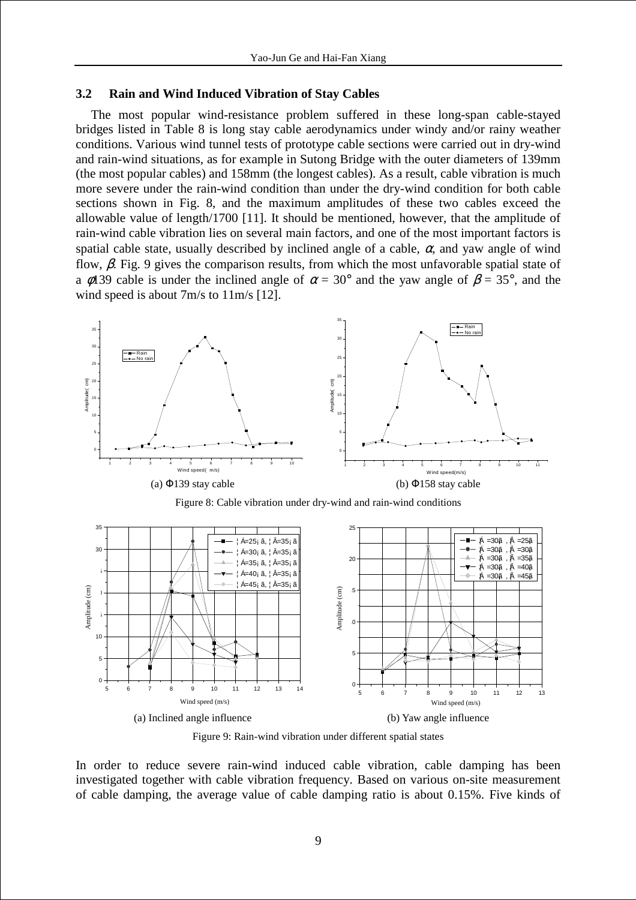#### **3.2 Rain and Wind Induced Vibration of Stay Cables**

The most popular wind-resistance problem suffered in these long-span cable-stayed bridges listed in Table 8 is long stay cable aerodynamics under windy and/or rainy weather conditions. Various wind tunnel tests of prototype cable sections were carried out in dry-wind and rain-wind situations, as for example in Sutong Bridge with the outer diameters of 139mm (the most popular cables) and 158mm (the longest cables). As a result, cable vibration is much more severe under the rain-wind condition than under the dry-wind condition for both cable sections shown in Fig. 8, and the maximum amplitudes of these two cables exceed the allowable value of length/1700 [11]. It should be mentioned, however, that the amplitude of rain-wind cable vibration lies on several main factors, and one of the most important factors is spatial cable state, usually described by inclined angle of a cable,  $\alpha$ , and yaw angle of wind flow,  $\beta$ . Fig. 9 gives the comparison results, from which the most unfavorable spatial state of a φ139 cable is under the inclined angle of  $\alpha = 30^{\circ}$  and the yaw angle of  $\beta = 35^{\circ}$ , and the wind speed is about 7m/s to 11m/s [12].

![](_page_8_Figure_3.jpeg)

Figure 8: Cable vibration under dry-wind and rain-wind conditions

![](_page_8_Figure_5.jpeg)

Figure 9: Rain-wind vibration under different spatial states

In order to reduce severe rain-wind induced cable vibration, cable damping has been investigated together with cable vibration frequency. Based on various on-site measurement of cable damping, the average value of cable damping ratio is about 0.15%. Five kinds of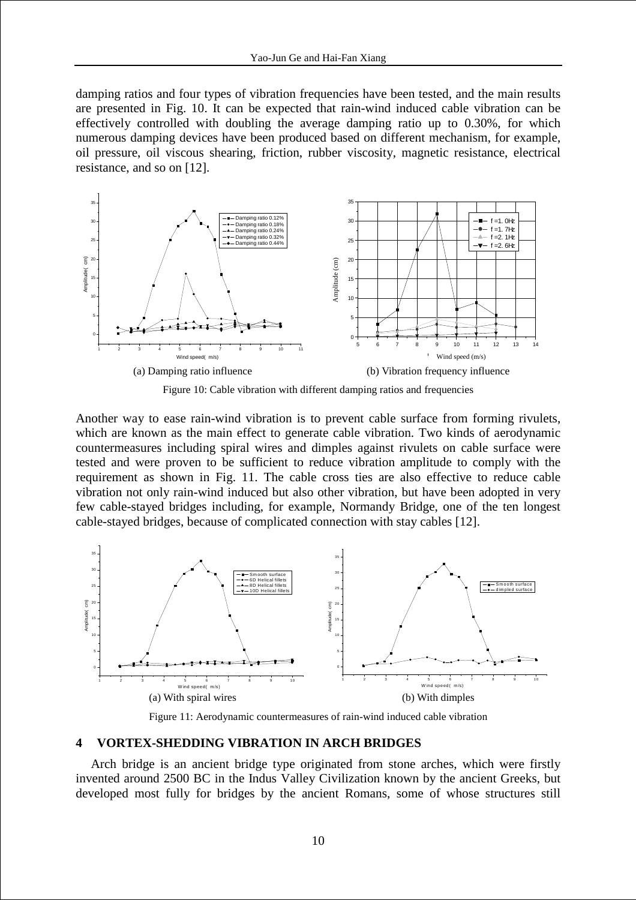damping ratios and four types of vibration frequencies have been tested, and the main results are presented in Fig. 10. It can be expected that rain-wind induced cable vibration can be effectively controlled with doubling the average damping ratio up to 0.30%, for which numerous damping devices have been produced based on different mechanism, for example, oil pressure, oil viscous shearing, friction, rubber viscosity, magnetic resistance, electrical resistance, and so on [12].

![](_page_9_Figure_2.jpeg)

Figure 10: Cable vibration with different damping ratios and frequencies

Another way to ease rain-wind vibration is to prevent cable surface from forming rivulets, which are known as the main effect to generate cable vibration. Two kinds of aerodynamic countermeasures including spiral wires and dimples against rivulets on cable surface were tested and were proven to be sufficient to reduce vibration amplitude to comply with the requirement as shown in Fig. 11. The cable cross ties are also effective to reduce cable vibration not only rain-wind induced but also other vibration, but have been adopted in very few cable-stayed bridges including, for example, Normandy Bridge, one of the ten longest cable-stayed bridges, because of complicated connection with stay cables [12].

![](_page_9_Figure_5.jpeg)

Figure 11: Aerodynamic countermeasures of rain-wind induced cable vibration

#### **4 VORTEX-SHEDDING VIBRATION IN ARCH BRIDGES**

Arch bridge is an ancient bridge type originated from stone arches, which were firstly invented around 2500 BC in the Indus Valley Civilization known by the ancient Greeks, but developed most fully for bridges by the ancient Romans, some of whose structures still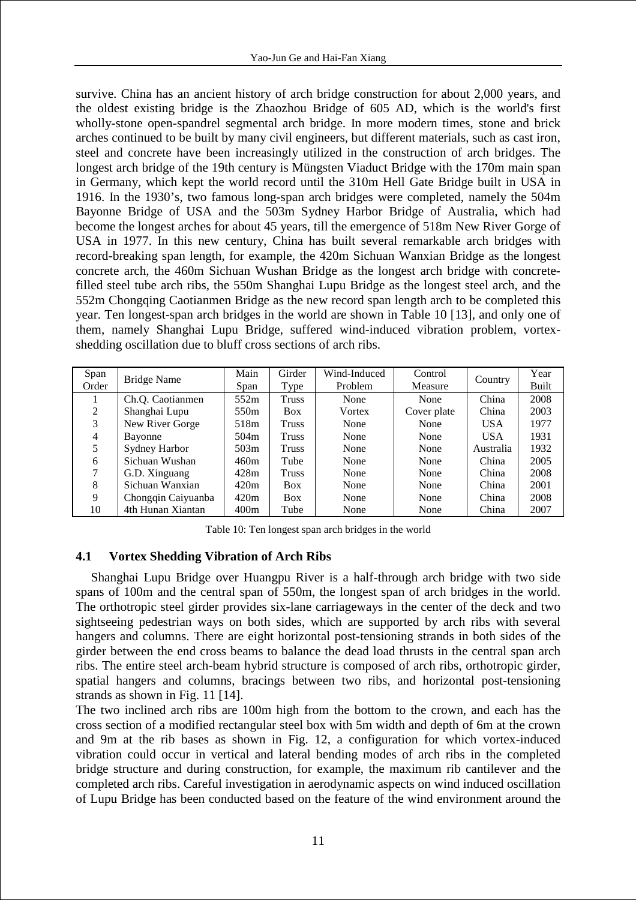survive. China has an ancient history of arch bridge construction for about 2,000 years, and the oldest existing bridge is the Zhaozhou Bridge of 605 AD, which is the world's first wholly-stone open-spandrel segmental arch bridge. In more modern times, stone and brick arches continued to be built by many civil engineers, but different materials, such as cast iron, steel and concrete have been increasingly utilized in the construction of arch bridges. The longest arch bridge of the 19th century is Müngsten Viaduct Bridge with the 170m main span in Germany, which kept the world record until the 310m Hell Gate Bridge built in USA in 1916. In the 1930's, two famous long-span arch bridges were completed, namely the 504m Bayonne Bridge of USA and the 503m Sydney Harbor Bridge of Australia, which had become the longest arches for about 45 years, till the emergence of 518m New River Gorge of USA in 1977. In this new century, China has built several remarkable arch bridges with record-breaking span length, for example, the 420m Sichuan Wanxian Bridge as the longest concrete arch, the 460m Sichuan Wushan Bridge as the longest arch bridge with concretefilled steel tube arch ribs, the 550m Shanghai Lupu Bridge as the longest steel arch, and the 552m Chongqing Caotianmen Bridge as the new record span length arch to be completed this year. Ten longest-span arch bridges in the world are shown in Table 10 [13], and only one of them, namely Shanghai Lupu Bridge, suffered wind-induced vibration problem, vortexshedding oscillation due to bluff cross sections of arch ribs.

| Span  |                    | Main | Girder       | Wind-Induced | Control     |            | Year  |
|-------|--------------------|------|--------------|--------------|-------------|------------|-------|
| Order | Bridge Name        | Span | Type         | Problem      | Measure     | Country    | Built |
|       | Ch.Q. Caotianmen   | 552m | Truss        | None         | None        | China      | 2008  |
| 2     | Shanghai Lupu      | 550m | <b>Box</b>   | Vortex       | Cover plate | China      | 2003  |
| 3     | New River Gorge    | 518m | <b>Truss</b> | None         | None        | USA        | 1977  |
| 4     | Bayonne            | 504m | Truss        | None         | None        | <b>USA</b> | 1931  |
|       | Sydney Harbor      | 503m | Truss        | None         | None        | Australia  | 1932  |
| 6     | Sichuan Wushan     | 460m | Tube         | None         | None        | China      | 2005  |
| 7     | G.D. Xinguang      | 428m | Truss        | None         | None        | China      | 2008  |
| 8     | Sichuan Wanxian    | 420m | <b>Box</b>   | None         | None        | China      | 2001  |
| 9     | Chongqin Caiyuanba | 420m | <b>Box</b>   | None         | None        | China      | 2008  |
| 10    | 4th Hunan Xiantan  | 400m | Tube         | None         | None        | China      | 2007  |

Table 10: Ten longest span arch bridges in the world

## **4.1 Vortex Shedding Vibration of Arch Ribs**

Shanghai Lupu Bridge over Huangpu River is a half-through arch bridge with two side spans of 100m and the central span of 550m, the longest span of arch bridges in the world. The orthotropic steel girder provides six-lane carriageways in the center of the deck and two sightseeing pedestrian ways on both sides, which are supported by arch ribs with several hangers and columns. There are eight horizontal post-tensioning strands in both sides of the girder between the end cross beams to balance the dead load thrusts in the central span arch ribs. The entire steel arch-beam hybrid structure is composed of arch ribs, orthotropic girder, spatial hangers and columns, bracings between two ribs, and horizontal post-tensioning strands as shown in Fig. 11 [14].

The two inclined arch ribs are 100m high from the bottom to the crown, and each has the cross section of a modified rectangular steel box with 5m width and depth of 6m at the crown and 9m at the rib bases as shown in Fig. 12, a configuration for which vortex-induced vibration could occur in vertical and lateral bending modes of arch ribs in the completed bridge structure and during construction, for example, the maximum rib cantilever and the completed arch ribs. Careful investigation in aerodynamic aspects on wind induced oscillation of Lupu Bridge has been conducted based on the feature of the wind environment around the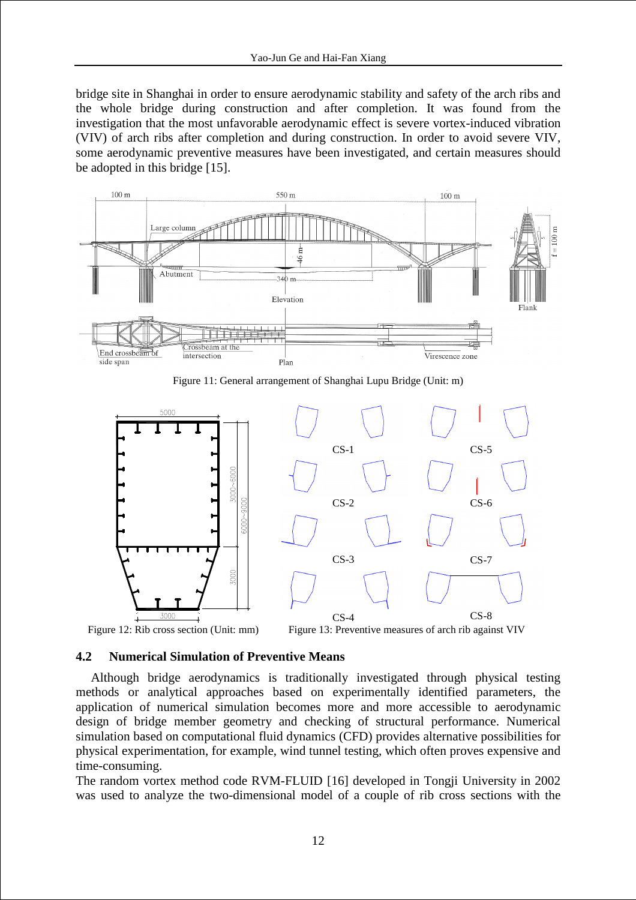bridge site in Shanghai in order to ensure aerodynamic stability and safety of the arch ribs and the whole bridge during construction and after completion. It was found from the investigation that the most unfavorable aerodynamic effect is severe vortex-induced vibration (VIV) of arch ribs after completion and during construction. In order to avoid severe VIV, some aerodynamic preventive measures have been investigated, and certain measures should be adopted in this bridge [15].

![](_page_11_Figure_2.jpeg)

Figure 11: General arrangement of Shanghai Lupu Bridge (Unit: m)

![](_page_11_Figure_4.jpeg)

#### **4.2 Numerical Simulation of Preventive Means**

Although bridge aerodynamics is traditionally investigated through physical testing methods or analytical approaches based on experimentally identified parameters, the application of numerical simulation becomes more and more accessible to aerodynamic design of bridge member geometry and checking of structural performance. Numerical simulation based on computational fluid dynamics (CFD) provides alternative possibilities for physical experimentation, for example, wind tunnel testing, which often proves expensive and time-consuming.

The random vortex method code RVM-FLUID [16] developed in Tongji University in 2002 was used to analyze the two-dimensional model of a couple of rib cross sections with the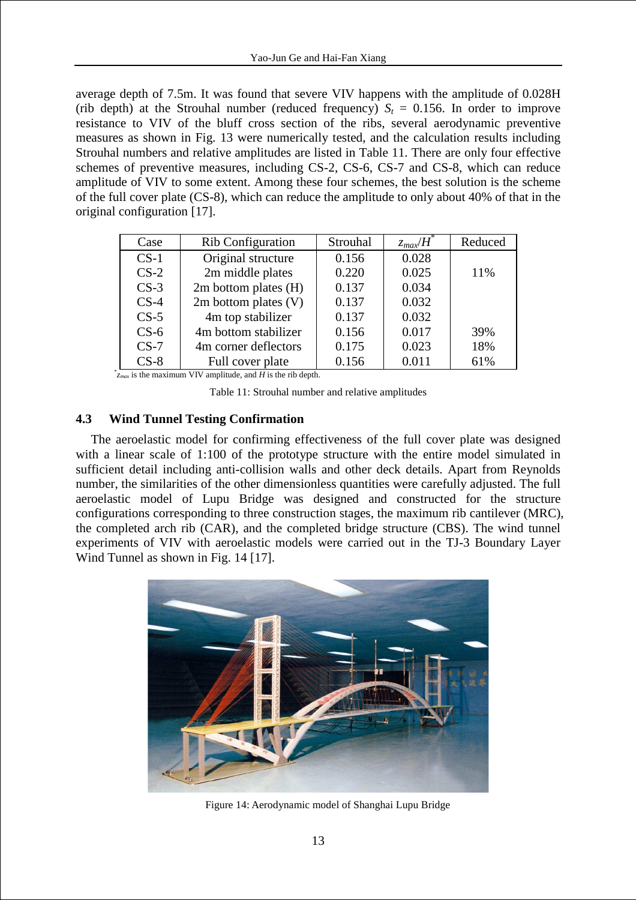average depth of 7.5m. It was found that severe VIV happens with the amplitude of 0.028H (rib depth) at the Strouhal number (reduced frequency)  $S_t = 0.156$ . In order to improve resistance to VIV of the bluff cross section of the ribs, several aerodynamic preventive measures as shown in Fig. 13 were numerically tested, and the calculation results including Strouhal numbers and relative amplitudes are listed in Table 11. There are only four effective schemes of preventive measures, including CS-2, CS-6, CS-7 and CS-8, which can reduce amplitude of VIV to some extent. Among these four schemes, the best solution is the scheme of the full cover plate (CS-8), which can reduce the amplitude to only about 40% of that in the original configuration [17].

| Case   | <b>Rib Configuration</b> | Strouhal | $z_{max}/H$ <sup>*</sup> | Reduced |
|--------|--------------------------|----------|--------------------------|---------|
| $CS-1$ | Original structure       | 0.156    | 0.028                    |         |
| $CS-2$ | 2m middle plates         | 0.220    | 0.025                    | 11%     |
| $CS-3$ | 2m bottom plates (H)     | 0.137    | 0.034                    |         |
| $CS-4$ | $2m$ bottom plates $(V)$ | 0.137    | 0.032                    |         |
| $CS-5$ | 4m top stabilizer        | 0.137    | 0.032                    |         |
| $CS-6$ | 4m bottom stabilizer     | 0.156    | 0.017                    | 39%     |
| $CS-7$ | 4m corner deflectors     | 0.175    | 0.023                    | 18%     |
| $CS-8$ | Full cover plate         | 0.156    | 0.011                    | 61%     |

\* *zmax* is the maximum VIV amplitude, and *H* is the rib depth.

Table 11: Strouhal number and relative amplitudes

## **4.3 Wind Tunnel Testing Confirmation**

The aeroelastic model for confirming effectiveness of the full cover plate was designed with a linear scale of 1:100 of the prototype structure with the entire model simulated in sufficient detail including anti-collision walls and other deck details. Apart from Reynolds number, the similarities of the other dimensionless quantities were carefully adjusted. The full aeroelastic model of Lupu Bridge was designed and constructed for the structure configurations corresponding to three construction stages, the maximum rib cantilever (MRC), the completed arch rib (CAR), and the completed bridge structure (CBS). The wind tunnel experiments of VIV with aeroelastic models were carried out in the TJ-3 Boundary Layer Wind Tunnel as shown in Fig. 14 [17].

![](_page_12_Picture_7.jpeg)

Figure 14: Aerodynamic model of Shanghai Lupu Bridge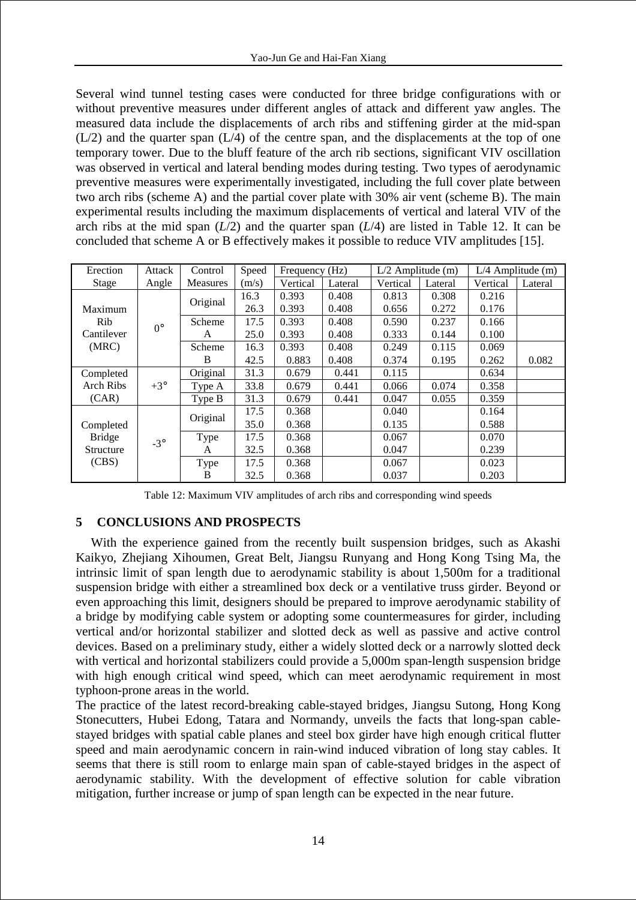Several wind tunnel testing cases were conducted for three bridge configurations with or without preventive measures under different angles of attack and different yaw angles. The measured data include the displacements of arch ribs and stiffening girder at the mid-span  $(L/2)$  and the quarter span  $(L/4)$  of the centre span, and the displacements at the top of one temporary tower. Due to the bluff feature of the arch rib sections, significant VIV oscillation was observed in vertical and lateral bending modes during testing. Two types of aerodynamic preventive measures were experimentally investigated, including the full cover plate between two arch ribs (scheme A) and the partial cover plate with 30% air vent (scheme B). The main experimental results including the maximum displacements of vertical and lateral VIV of the arch ribs at the mid span  $(L/2)$  and the quarter span  $(L/4)$  are listed in Table 12. It can be concluded that scheme A or B effectively makes it possible to reduce VIV amplitudes [15].

| Erection      | Attack      | Control  | Speed | Frequency (Hz) |         | $L/2$ Amplitude (m) |         |          | $L/4$ Amplitude (m) |
|---------------|-------------|----------|-------|----------------|---------|---------------------|---------|----------|---------------------|
| Stage         | Angle       | Measures | (m/s) | Vertical       | Lateral | Vertical            | Lateral | Vertical | Lateral             |
|               |             | Original | 16.3  | 0.393          | 0.408   | 0.813               | 0.308   | 0.216    |                     |
| Maximum       |             |          | 26.3  | 0.393          | 0.408   | 0.656               | 0.272   | 0.176    |                     |
| Rib           | $0^{\circ}$ | Scheme   | 17.5  | 0.393          | 0.408   | 0.590               | 0.237   | 0.166    |                     |
| Cantilever    |             | A        | 25.0  | 0.393          | 0.408   | 0.333               | 0.144   | 0.100    |                     |
| (MRC)         |             | Scheme   | 16.3  | 0.393          | 0.408   | 0.249               | 0.115   | 0.069    |                     |
|               |             | B        | 42.5  | 0.883          | 0.408   | 0.374               | 0.195   | 0.262    | 0.082               |
| Completed     |             | Original | 31.3  | 0.679          | 0.441   | 0.115               |         | 0.634    |                     |
| Arch Ribs     | $+3^\circ$  | Type A   | 33.8  | 0.679          | 0.441   | 0.066               | 0.074   | 0.358    |                     |
| (CAR)         |             | Type B   | 31.3  | 0.679          | 0.441   | 0.047               | 0.055   | 0.359    |                     |
|               |             | Original | 17.5  | 0.368          |         | 0.040               |         | 0.164    |                     |
| Completed     |             |          | 35.0  | 0.368          |         | 0.135               |         | 0.588    |                     |
| <b>Bridge</b> | $-3^\circ$  | Type     | 17.5  | 0.368          |         | 0.067               |         | 0.070    |                     |
| Structure     |             | A        | 32.5  | 0.368          |         | 0.047               |         | 0.239    |                     |
| (CBS)         |             | Type     | 17.5  | 0.368          |         | 0.067               |         | 0.023    |                     |
|               |             | B        | 32.5  | 0.368          |         | 0.037               |         | 0.203    |                     |

Table 12: Maximum VIV amplitudes of arch ribs and corresponding wind speeds

# **5 CONCLUSIONS AND PROSPECTS**

With the experience gained from the recently built suspension bridges, such as Akashi Kaikyo, Zhejiang Xihoumen, Great Belt, Jiangsu Runyang and Hong Kong Tsing Ma, the intrinsic limit of span length due to aerodynamic stability is about 1,500m for a traditional suspension bridge with either a streamlined box deck or a ventilative truss girder. Beyond or even approaching this limit, designers should be prepared to improve aerodynamic stability of a bridge by modifying cable system or adopting some countermeasures for girder, including vertical and/or horizontal stabilizer and slotted deck as well as passive and active control devices. Based on a preliminary study, either a widely slotted deck or a narrowly slotted deck with vertical and horizontal stabilizers could provide a 5,000m span-length suspension bridge with high enough critical wind speed, which can meet aerodynamic requirement in most typhoon-prone areas in the world.

The practice of the latest record-breaking cable-stayed bridges, Jiangsu Sutong, Hong Kong Stonecutters, Hubei Edong, Tatara and Normandy, unveils the facts that long-span cablestayed bridges with spatial cable planes and steel box girder have high enough critical flutter speed and main aerodynamic concern in rain-wind induced vibration of long stay cables. It seems that there is still room to enlarge main span of cable-stayed bridges in the aspect of aerodynamic stability. With the development of effective solution for cable vibration mitigation, further increase or jump of span length can be expected in the near future.